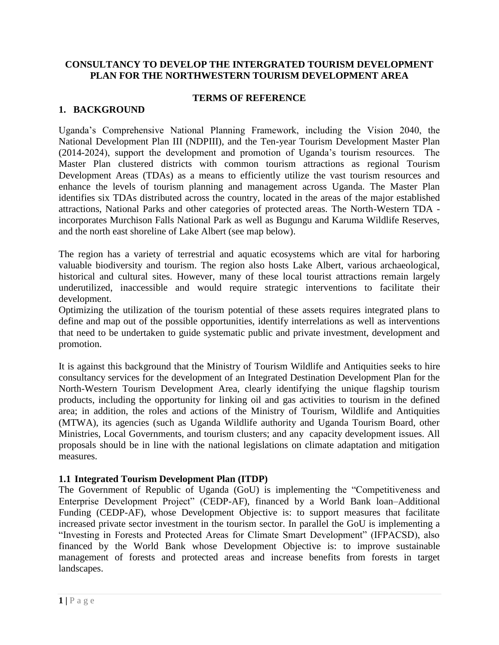#### **CONSULTANCY TO DEVELOP THE INTERGRATED TOURISM DEVELOPMENT PLAN FOR THE NORTHWESTERN TOURISM DEVELOPMENT AREA**

#### **TERMS OF REFERENCE**

#### **1. BACKGROUND**

Uganda's Comprehensive National Planning Framework, including the Vision 2040, the National Development Plan III (NDPIII), and the Ten-year Tourism Development Master Plan (2014-2024), support the development and promotion of Uganda's tourism resources. The Master Plan clustered districts with common tourism attractions as regional Tourism Development Areas (TDAs) as a means to efficiently utilize the vast tourism resources and enhance the levels of tourism planning and management across Uganda. The Master Plan identifies six TDAs distributed across the country, located in the areas of the major established attractions, National Parks and other categories of protected areas. The North-Western TDA incorporates Murchison Falls National Park as well as Bugungu and Karuma Wildlife Reserves, and the north east shoreline of Lake Albert (see map below).

The region has a variety of terrestrial and aquatic ecosystems which are vital for harboring valuable biodiversity and tourism. The region also hosts Lake Albert, various archaeological, historical and cultural sites. However, many of these local tourist attractions remain largely underutilized, inaccessible and would require strategic interventions to facilitate their development.

Optimizing the utilization of the tourism potential of these assets requires integrated plans to define and map out of the possible opportunities, identify interrelations as well as interventions that need to be undertaken to guide systematic public and private investment, development and promotion.

It is against this background that the Ministry of Tourism Wildlife and Antiquities seeks to hire consultancy services for the development of an Integrated Destination Development Plan for the North-Western Tourism Development Area, clearly identifying the unique flagship tourism products, including the opportunity for linking oil and gas activities to tourism in the defined area; in addition, the roles and actions of the Ministry of Tourism, Wildlife and Antiquities (MTWA), its agencies (such as Uganda Wildlife authority and Uganda Tourism Board, other Ministries, Local Governments, and tourism clusters; and any capacity development issues. All proposals should be in line with the national legislations on climate adaptation and mitigation measures.

#### **1.1 Integrated Tourism Development Plan (ITDP)**

The Government of Republic of Uganda (GoU) is implementing the "Competitiveness and Enterprise Development Project" (CEDP-AF), financed by a World Bank loan–Additional Funding (CEDP-AF), whose Development Objective is: to support measures that facilitate increased private sector investment in the tourism sector. In parallel the GoU is implementing a "Investing in Forests and Protected Areas for Climate Smart Development" (IFPACSD), also financed by the World Bank whose Development Objective is: to improve sustainable management of forests and protected areas and increase benefits from forests in target landscapes.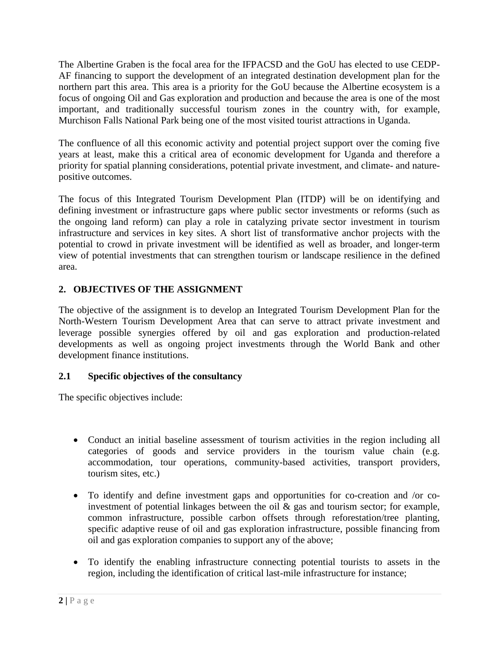The Albertine Graben is the focal area for the IFPACSD and the GoU has elected to use CEDP-AF financing to support the development of an integrated destination development plan for the northern part this area. This area is a priority for the GoU because the Albertine ecosystem is a focus of ongoing Oil and Gas exploration and production and because the area is one of the most important, and traditionally successful tourism zones in the country with, for example, Murchison Falls National Park being one of the most visited tourist attractions in Uganda.

The confluence of all this economic activity and potential project support over the coming five years at least, make this a critical area of economic development for Uganda and therefore a priority for spatial planning considerations, potential private investment, and climate- and naturepositive outcomes.

The focus of this Integrated Tourism Development Plan (ITDP) will be on identifying and defining investment or infrastructure gaps where public sector investments or reforms (such as the ongoing land reform) can play a role in catalyzing private sector investment in tourism infrastructure and services in key sites. A short list of transformative anchor projects with the potential to crowd in private investment will be identified as well as broader, and longer-term view of potential investments that can strengthen tourism or landscape resilience in the defined area.

# **2. OBJECTIVES OF THE ASSIGNMENT**

The objective of the assignment is to develop an Integrated Tourism Development Plan for the North-Western Tourism Development Area that can serve to attract private investment and leverage possible synergies offered by oil and gas exploration and production-related developments as well as ongoing project investments through the World Bank and other development finance institutions.

## **2.1 Specific objectives of the consultancy**

The specific objectives include:

- Conduct an initial baseline assessment of tourism activities in the region including all categories of goods and service providers in the tourism value chain (e.g. accommodation, tour operations, community-based activities, transport providers, tourism sites, etc.)
- To identify and define investment gaps and opportunities for co-creation and /or coinvestment of potential linkages between the oil  $\&$  gas and tourism sector; for example, common infrastructure, possible carbon offsets through reforestation/tree planting, specific adaptive reuse of oil and gas exploration infrastructure, possible financing from oil and gas exploration companies to support any of the above;
- To identify the enabling infrastructure connecting potential tourists to assets in the region, including the identification of critical last-mile infrastructure for instance;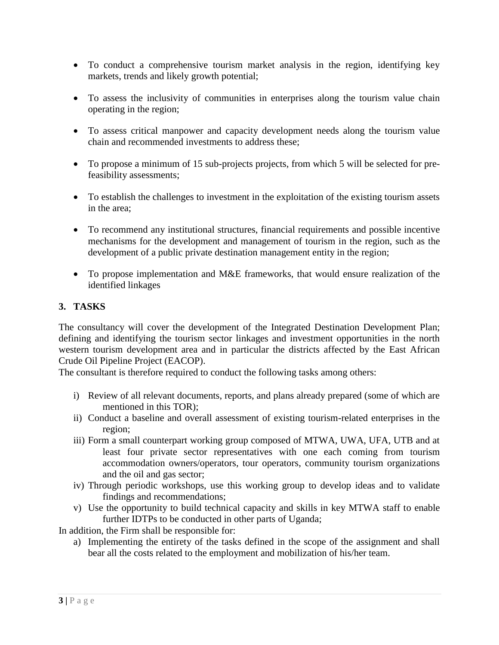- To conduct a comprehensive tourism market analysis in the region, identifying key markets, trends and likely growth potential;
- To assess the inclusivity of communities in enterprises along the tourism value chain operating in the region;
- To assess critical manpower and capacity development needs along the tourism value chain and recommended investments to address these;
- To propose a minimum of 15 sub-projects projects, from which 5 will be selected for prefeasibility assessments;
- To establish the challenges to investment in the exploitation of the existing tourism assets in the area;
- To recommend any institutional structures, financial requirements and possible incentive mechanisms for the development and management of tourism in the region, such as the development of a public private destination management entity in the region;
- To propose implementation and M&E frameworks, that would ensure realization of the identified linkages

## **3. TASKS**

The consultancy will cover the development of the Integrated Destination Development Plan; defining and identifying the tourism sector linkages and investment opportunities in the north western tourism development area and in particular the districts affected by the East African Crude Oil Pipeline Project (EACOP).

The consultant is therefore required to conduct the following tasks among others:

- i) Review of all relevant documents, reports, and plans already prepared (some of which are mentioned in this TOR);
- ii) Conduct a baseline and overall assessment of existing tourism-related enterprises in the region;
- iii) Form a small counterpart working group composed of MTWA, UWA, UFA, UTB and at least four private sector representatives with one each coming from tourism accommodation owners/operators, tour operators, community tourism organizations and the oil and gas sector;
- iv) Through periodic workshops, use this working group to develop ideas and to validate findings and recommendations;
- v) Use the opportunity to build technical capacity and skills in key MTWA staff to enable further IDTPs to be conducted in other parts of Uganda;

In addition, the Firm shall be responsible for:

a) Implementing the entirety of the tasks defined in the scope of the assignment and shall bear all the costs related to the employment and mobilization of his/her team.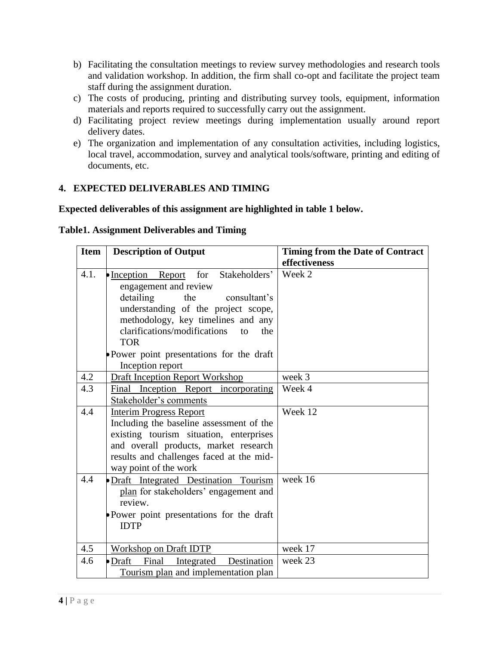- b) Facilitating the consultation meetings to review survey methodologies and research tools and validation workshop. In addition, the firm shall co-opt and facilitate the project team staff during the assignment duration.
- c) The costs of producing, printing and distributing survey tools, equipment, information materials and reports required to successfully carry out the assignment.
- d) Facilitating project review meetings during implementation usually around report delivery dates.
- e) The organization and implementation of any consultation activities, including logistics, local travel, accommodation, survey and analytical tools/software, printing and editing of documents, etc.

## **4. EXPECTED DELIVERABLES AND TIMING**

### **Expected deliverables of this assignment are highlighted in table 1 below.**

|  |  | <b>Table1. Assignment Deliverables and Timing</b> |  |
|--|--|---------------------------------------------------|--|
|--|--|---------------------------------------------------|--|

| <b>Item</b> | <b>Description of Output</b>              | <b>Timing from the Date of Contract</b> |
|-------------|-------------------------------------------|-----------------------------------------|
|             |                                           | effectiveness                           |
| 4.1.        | Inception Report for Stakeholders'        | Week 2                                  |
|             | engagement and review                     |                                         |
|             | detailing<br>the<br>consultant's          |                                         |
|             | understanding of the project scope,       |                                         |
|             | methodology, key timelines and any        |                                         |
|             | clarifications/modifications<br>to<br>the |                                         |
|             | <b>TOR</b>                                |                                         |
|             | Power point presentations for the draft   |                                         |
|             | Inception report                          |                                         |
| 4.2         | <b>Draft Inception Report Workshop</b>    | week 3                                  |
| 4.3         | Final Inception Report incorporating      | Week 4                                  |
|             | Stakeholder's comments                    |                                         |
| 4.4         | <b>Interim Progress Report</b>            | Week 12                                 |
|             | Including the baseline assessment of the  |                                         |
|             | existing tourism situation, enterprises   |                                         |
|             | and overall products, market research     |                                         |
|             | results and challenges faced at the mid-  |                                         |
|             | way point of the work                     |                                         |
| 4.4         | Draft Integrated Destination Tourism      | week 16                                 |
|             | plan for stakeholders' engagement and     |                                         |
|             | review.                                   |                                         |
|             | Power point presentations for the draft   |                                         |
|             | <b>IDTP</b>                               |                                         |
|             |                                           |                                         |
| 4.5         | <b>Workshop on Draft IDTP</b>             | week 17                                 |
| 4.6         | •Draft<br>Final<br>Integrated Destination | week 23                                 |
|             | Tourism plan and implementation plan      |                                         |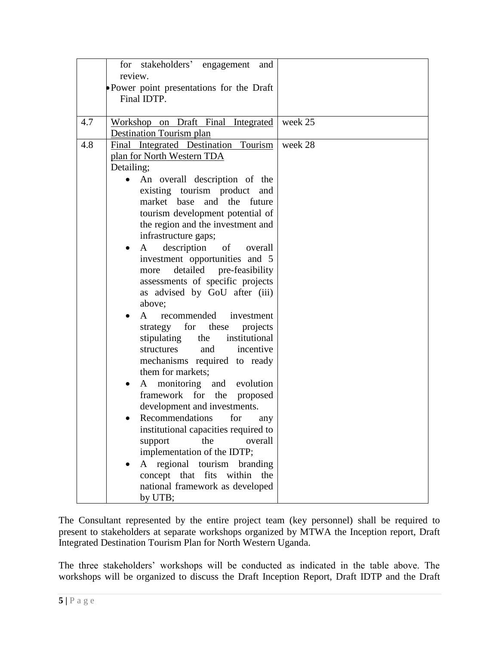|     | for stakeholders' engagement and                                  |         |
|-----|-------------------------------------------------------------------|---------|
|     | review.<br>• Power point presentations for the Draft              |         |
|     | Final IDTP.                                                       |         |
|     |                                                                   |         |
| 4.7 | Workshop on Draft Final Integrated                                | week 25 |
|     | <b>Destination Tourism plan</b>                                   |         |
| 4.8 | Final Integrated Destination Tourism                              | week 28 |
|     | plan for North Western TDA                                        |         |
|     | Detailing;                                                        |         |
|     | An overall description of the<br>existing tourism product and     |         |
|     | market base and the future                                        |         |
|     | tourism development potential of                                  |         |
|     | the region and the investment and                                 |         |
|     | infrastructure gaps;                                              |         |
|     | description of overall<br>A                                       |         |
|     | investment opportunities and 5                                    |         |
|     | detailed pre-feasibility<br>more                                  |         |
|     | assessments of specific projects<br>as advised by GoU after (iii) |         |
|     | above;                                                            |         |
|     | recommended investment<br>$\mathsf{A}$                            |         |
|     | strategy for these<br>projects                                    |         |
|     | stipulating the<br>institutional                                  |         |
|     | incentive<br>and<br>structures                                    |         |
|     | mechanisms required to ready                                      |         |
|     | them for markets;                                                 |         |
|     | A monitoring and evolution                                        |         |
|     | framework for the proposed<br>development and investments.        |         |
|     | Recommendations<br>for<br>any                                     |         |
|     | institutional capacities required to                              |         |
|     | support<br>the<br>overall                                         |         |
|     | implementation of the IDTP;                                       |         |
|     | A regional tourism<br>branding                                    |         |
|     | concept that fits within the                                      |         |
|     | national framework as developed                                   |         |
|     | by UTB;                                                           |         |

The Consultant represented by the entire project team (key personnel) shall be required to present to stakeholders at separate workshops organized by MTWA the Inception report, Draft Integrated Destination Tourism Plan for North Western Uganda.

The three stakeholders' workshops will be conducted as indicated in the table above. The workshops will be organized to discuss the Draft Inception Report, Draft IDTP and the Draft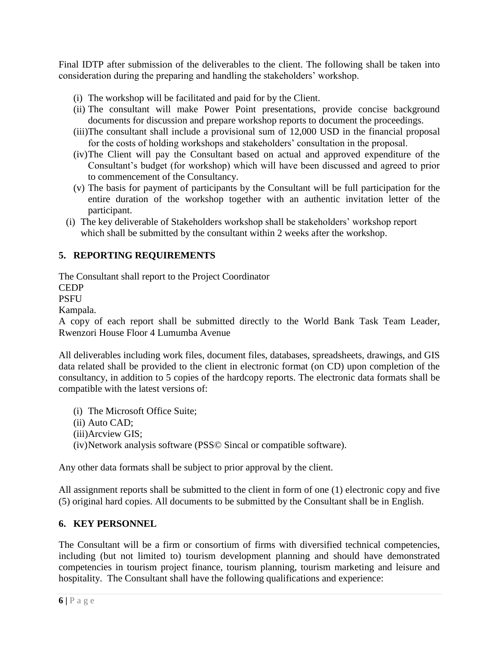Final IDTP after submission of the deliverables to the client. The following shall be taken into consideration during the preparing and handling the stakeholders' workshop.

- (i) The workshop will be facilitated and paid for by the Client.
- (ii) The consultant will make Power Point presentations, provide concise background documents for discussion and prepare workshop reports to document the proceedings.
- (iii)The consultant shall include a provisional sum of 12,000 USD in the financial proposal for the costs of holding workshops and stakeholders' consultation in the proposal.
- (iv)The Client will pay the Consultant based on actual and approved expenditure of the Consultant's budget (for workshop) which will have been discussed and agreed to prior to commencement of the Consultancy.
- (v) The basis for payment of participants by the Consultant will be full participation for the entire duration of the workshop together with an authentic invitation letter of the participant.
- (i) The key deliverable of Stakeholders workshop shall be stakeholders' workshop report which shall be submitted by the consultant within 2 weeks after the workshop.

# **5. REPORTING REQUIREMENTS**

The Consultant shall report to the Project Coordinator

CEDP

PSFU

Kampala.

A copy of each report shall be submitted directly to the World Bank Task Team Leader, Rwenzori House Floor 4 Lumumba Avenue

All deliverables including work files, document files, databases, spreadsheets, drawings, and GIS data related shall be provided to the client in electronic format (on CD) upon completion of the consultancy, in addition to 5 copies of the hardcopy reports. The electronic data formats shall be compatible with the latest versions of:

- (i) The Microsoft Office Suite;
- (ii) Auto CAD;
- (iii)Arcview GIS;

(iv)Network analysis software (PSS© Sincal or compatible software).

Any other data formats shall be subject to prior approval by the client.

All assignment reports shall be submitted to the client in form of one (1) electronic copy and five (5) original hard copies. All documents to be submitted by the Consultant shall be in English.

## **6. KEY PERSONNEL**

The Consultant will be a firm or consortium of firms with diversified technical competencies, including (but not limited to) tourism development planning and should have demonstrated competencies in tourism project finance, tourism planning, tourism marketing and leisure and hospitality. The Consultant shall have the following qualifications and experience: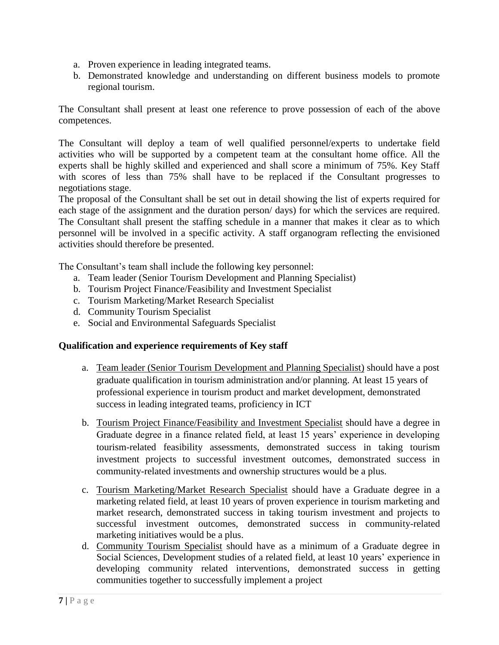- a. Proven experience in leading integrated teams.
- b. Demonstrated knowledge and understanding on different business models to promote regional tourism.

The Consultant shall present at least one reference to prove possession of each of the above competences.

The Consultant will deploy a team of well qualified personnel/experts to undertake field activities who will be supported by a competent team at the consultant home office. All the experts shall be highly skilled and experienced and shall score a minimum of 75%. Key Staff with scores of less than 75% shall have to be replaced if the Consultant progresses to negotiations stage.

The proposal of the Consultant shall be set out in detail showing the list of experts required for each stage of the assignment and the duration person/ days) for which the services are required. The Consultant shall present the staffing schedule in a manner that makes it clear as to which personnel will be involved in a specific activity. A staff organogram reflecting the envisioned activities should therefore be presented.

The Consultant's team shall include the following key personnel:

- a. Team leader (Senior Tourism Development and Planning Specialist)
- b. Tourism Project Finance/Feasibility and Investment Specialist
- c. Tourism Marketing/Market Research Specialist
- d. Community Tourism Specialist
- e. Social and Environmental Safeguards Specialist

### **Qualification and experience requirements of Key staff**

- a. Team leader (Senior Tourism Development and Planning Specialist) should have a post graduate qualification in tourism administration and/or planning. At least 15 years of professional experience in tourism product and market development, demonstrated success in leading integrated teams, proficiency in ICT
- b. Tourism Project Finance/Feasibility and Investment Specialist should have a degree in Graduate degree in a finance related field, at least 15 years' experience in developing tourism-related feasibility assessments, demonstrated success in taking tourism investment projects to successful investment outcomes, demonstrated success in community-related investments and ownership structures would be a plus.
- c. Tourism Marketing/Market Research Specialist should have a Graduate degree in a marketing related field, at least 10 years of proven experience in tourism marketing and market research, demonstrated success in taking tourism investment and projects to successful investment outcomes, demonstrated success in community-related marketing initiatives would be a plus.
- d. Community Tourism Specialist should have as a minimum of a Graduate degree in Social Sciences, Development studies of a related field, at least 10 years' experience in developing community related interventions, demonstrated success in getting communities together to successfully implement a project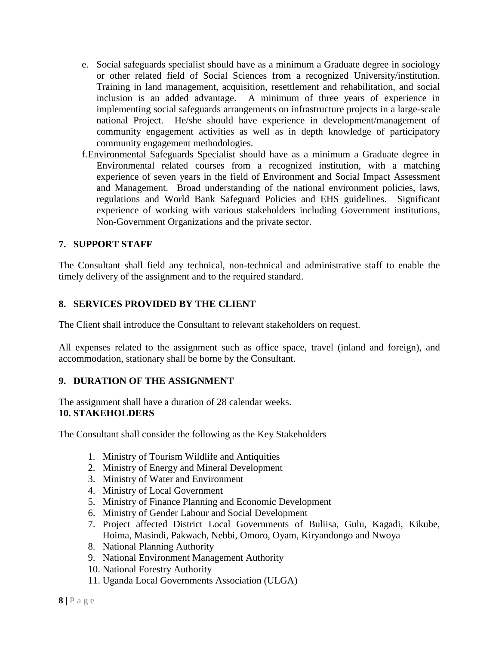- e. Social safeguards specialist should have as a minimum a Graduate degree in sociology or other related field of Social Sciences from a recognized University/institution. Training in land management, acquisition, resettlement and rehabilitation, and social inclusion is an added advantage. A minimum of three years of experience in implementing social safeguards arrangements on infrastructure projects in a large-scale national Project. He/she should have experience in development/management of community engagement activities as well as in depth knowledge of participatory community engagement methodologies.
- f.Environmental Safeguards Specialist should have as a minimum a Graduate degree in Environmental related courses from a recognized institution, with a matching experience of seven years in the field of Environment and Social Impact Assessment and Management. Broad understanding of the national environment policies, laws, regulations and World Bank Safeguard Policies and EHS guidelines. Significant experience of working with various stakeholders including Government institutions, Non-Government Organizations and the private sector.

### **7. SUPPORT STAFF**

The Consultant shall field any technical, non-technical and administrative staff to enable the timely delivery of the assignment and to the required standard.

### **8. SERVICES PROVIDED BY THE CLIENT**

The Client shall introduce the Consultant to relevant stakeholders on request.

All expenses related to the assignment such as office space, travel (inland and foreign), and accommodation, stationary shall be borne by the Consultant.

#### **9. DURATION OF THE ASSIGNMENT**

The assignment shall have a duration of 28 calendar weeks. **10. STAKEHOLDERS**

The Consultant shall consider the following as the Key Stakeholders

- 1. Ministry of Tourism Wildlife and Antiquities
- 2. Ministry of Energy and Mineral Development
- 3. Ministry of Water and Environment
- 4. Ministry of Local Government
- 5. Ministry of Finance Planning and Economic Development
- 6. Ministry of Gender Labour and Social Development
- 7. Project affected District Local Governments of Buliisa, Gulu, Kagadi, Kikube, Hoima, Masindi, Pakwach, Nebbi, Omoro, Oyam, Kiryandongo and Nwoya
- 8. National Planning Authority
- 9. National Environment Management Authority
- 10. National Forestry Authority
- 11. Uganda Local Governments Association (ULGA)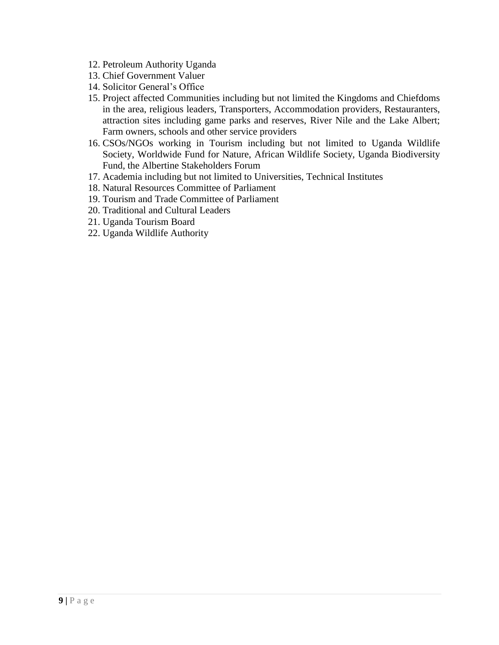- 12. Petroleum Authority Uganda
- 13. Chief Government Valuer
- 14. Solicitor General's Office
- 15. Project affected Communities including but not limited the Kingdoms and Chiefdoms in the area, religious leaders, Transporters, Accommodation providers, Restauranters, attraction sites including game parks and reserves, River Nile and the Lake Albert; Farm owners, schools and other service providers
- 16. CSOs/NGOs working in Tourism including but not limited to Uganda Wildlife Society, Worldwide Fund for Nature, African Wildlife Society, Uganda Biodiversity Fund, the Albertine Stakeholders Forum
- 17. Academia including but not limited to Universities, Technical Institutes
- 18. Natural Resources Committee of Parliament
- 19. Tourism and Trade Committee of Parliament
- 20. Traditional and Cultural Leaders
- 21. Uganda Tourism Board
- 22. Uganda Wildlife Authority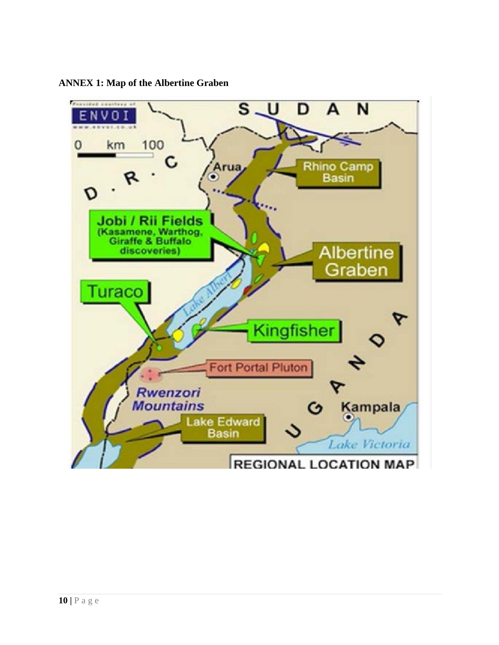

**ANNEX 1: Map of the Albertine Graben**